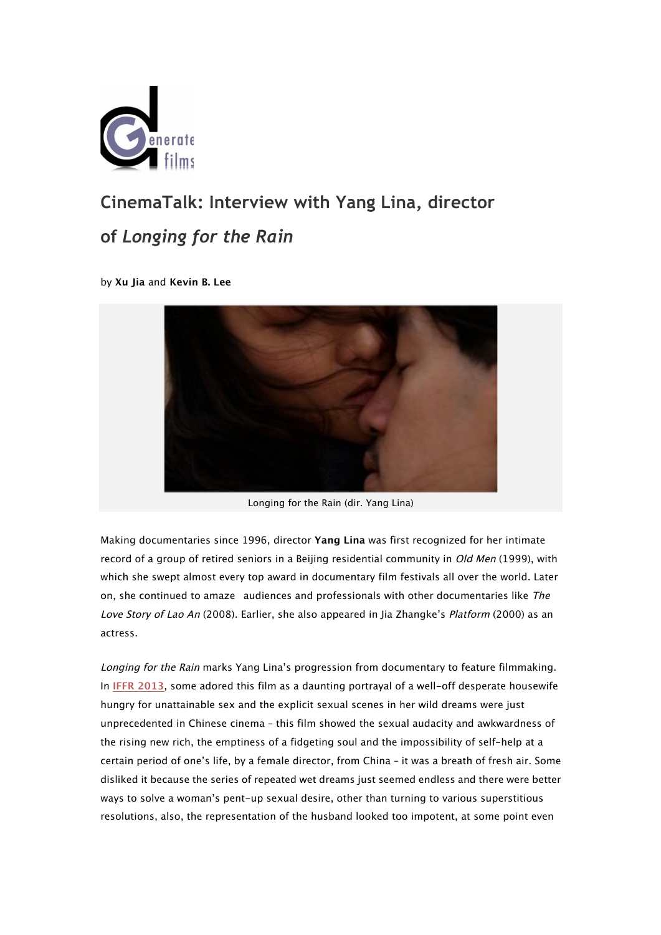

# **CinemaTalk: Interview with Yang Lina, director of** *Longing for the Rain*

by **Xu Jia** and **Kevin B. Lee**



Longing for the Rain (dir. Yang Lina)

Making documentaries since 1996, director **Yang Lina** was first recognized for her intimate record of a group of retired seniors in a Beijing residential community in *Old Men* (1999), with which she swept almost every top award in documentary film festivals all over the world. Later on, she continued to amaze audiences and professionals with other documentaries like The Love Story of Lao An (2008). Earlier, she also appeared in Jia Zhangke's Platform (2000) as an actress.

Longing for the Rain marks Yang Lina's progression from documentary to feature filmmaking. In **IFFR 2013**, some adored this film as a daunting portrayal of a well-off desperate housewife hungry for unattainable sex and the explicit sexual scenes in her wild dreams were just unprecedented in Chinese cinema – this film showed the sexual audacity and awkwardness of the rising new rich, the emptiness of a fidgeting soul and the impossibility of self-help at a certain period of one's life, by a female director, from China – it was a breath of fresh air. Some disliked it because the series of repeated wet dreams just seemed endless and there were better ways to solve a woman's pent-up sexual desire, other than turning to various superstitious resolutions, also, the representation of the husband looked too impotent, at some point even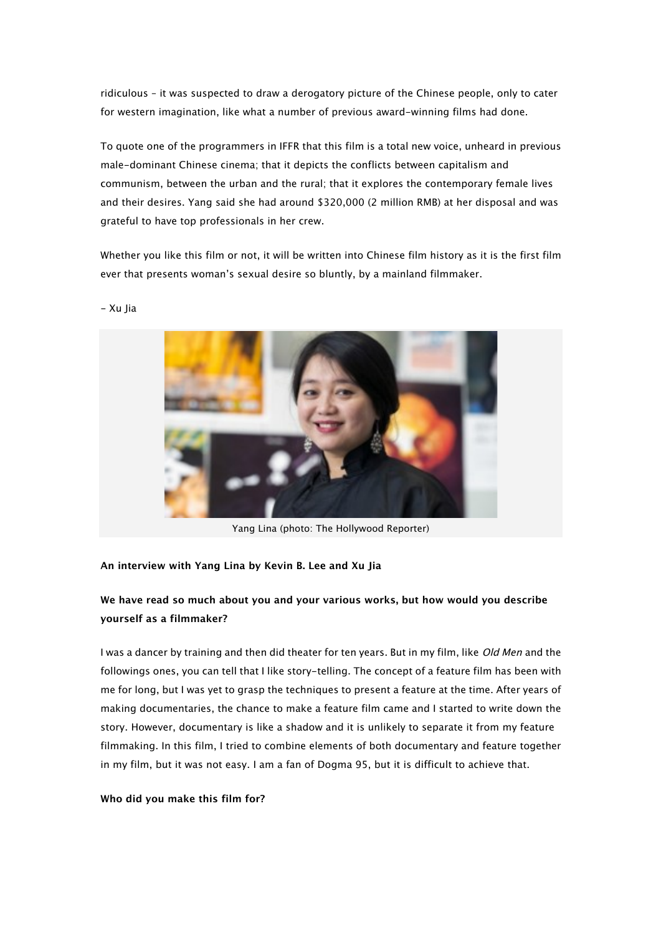ridiculous – it was suspected to draw a derogatory picture of the Chinese people, only to cater for western imagination, like what a number of previous award-winning films had done.

To quote one of the programmers in IFFR that this film is a total new voice, unheard in previous male-dominant Chinese cinema; that it depicts the conflicts between capitalism and communism, between the urban and the rural; that it explores the contemporary female lives and their desires. Yang said she had around \$320,000 (2 million RMB) at her disposal and was grateful to have top professionals in her crew.

Whether you like this film or not, it will be written into Chinese film history as it is the first film ever that presents woman's sexual desire so bluntly, by a mainland filmmaker.



- Xu Jia

Yang Lina (photo: The Hollywood Reporter)

### **An interview with Yang Lina by Kevin B. Lee and Xu Jia**

## **We have read so much about you and your various works, but how would you describe yourself as a filmmaker?**

I was a dancer by training and then did theater for ten years. But in my film, like *Old Men* and the followings ones, you can tell that I like story-telling. The concept of a feature film has been with me for long, but I was yet to grasp the techniques to present a feature at the time. After years of making documentaries, the chance to make a feature film came and I started to write down the story. However, documentary is like a shadow and it is unlikely to separate it from my feature filmmaking. In this film, I tried to combine elements of both documentary and feature together in my film, but it was not easy. I am a fan of Dogma 95, but it is difficult to achieve that.

#### **Who did you make this film for?**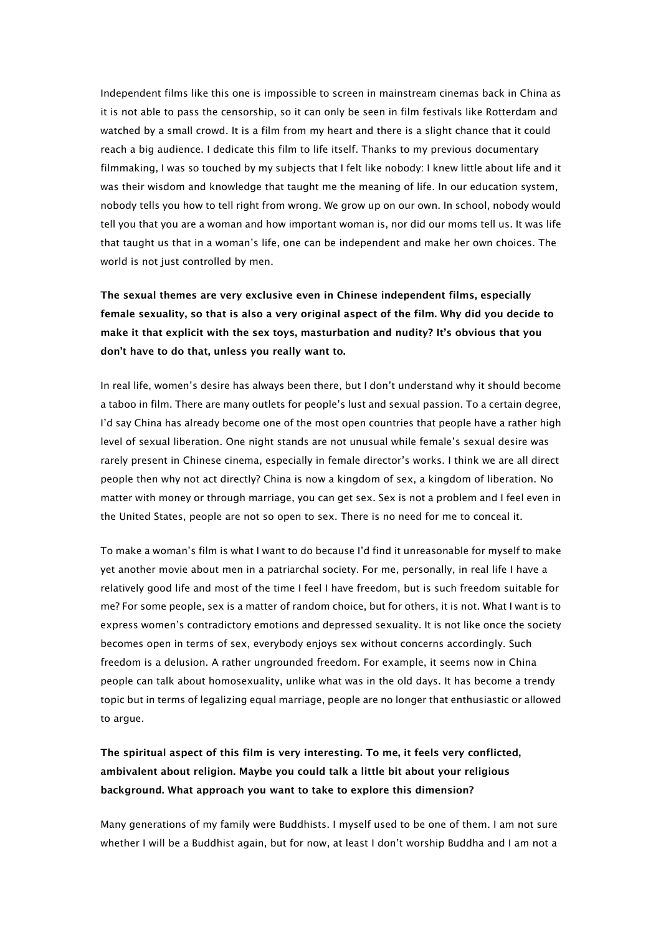Independent films like this one is impossible to screen in mainstream cinemas back in China as it is not able to pass the censorship, so it can only be seen in film festivals like Rotterdam and watched by a small crowd. It is a film from my heart and there is a slight chance that it could reach a big audience. I dedicate this film to life itself. Thanks to my previous documentary filmmaking, I was so touched by my subjects that I felt like nobody: I knew little about life and it was their wisdom and knowledge that taught me the meaning of life. In our education system, nobody tells you how to tell right from wrong. We grow up on our own. In school, nobody would tell you that you are a woman and how important woman is, nor did our moms tell us. It was life that taught us that in a woman's life, one can be independent and make her own choices. The world is not just controlled by men.

**The sexual themes are very exclusive even in Chinese independent films, especially female sexuality, so that is also a very original aspect of the film. Why did you decide to make it that explicit with the sex toys, masturbation and nudity? It's obvious that you don't have to do that, unless you really want to.**

In real life, women's desire has always been there, but I don't understand why it should become a taboo in film. There are many outlets for people's lust and sexual passion. To a certain degree, I'd say China has already become one of the most open countries that people have a rather high level of sexual liberation. One night stands are not unusual while female's sexual desire was rarely present in Chinese cinema, especially in female director's works. I think we are all direct people then why not act directly? China is now a kingdom of sex, a kingdom of liberation. No matter with money or through marriage, you can get sex. Sex is not a problem and I feel even in the United States, people are not so open to sex. There is no need for me to conceal it.

To make a woman's film is what I want to do because I'd find it unreasonable for myself to make yet another movie about men in a patriarchal society. For me, personally, in real life I have a relatively good life and most of the time I feel I have freedom, but is such freedom suitable for me? For some people, sex is a matter of random choice, but for others, it is not. What I want is to express women's contradictory emotions and depressed sexuality. It is not like once the society becomes open in terms of sex, everybody enjoys sex without concerns accordingly. Such freedom is a delusion. A rather ungrounded freedom. For example, it seems now in China people can talk about homosexuality, unlike what was in the old days. It has become a trendy topic but in terms of legalizing equal marriage, people are no longer that enthusiastic or allowed to argue.

**The spiritual aspect of this film is very interesting. To me, it feels very conflicted, ambivalent about religion. Maybe you could talk a little bit about your religious background. What approach you want to take to explore this dimension?**

Many generations of my family were Buddhists. I myself used to be one of them. I am not sure whether I will be a Buddhist again, but for now, at least I don't worship Buddha and I am not a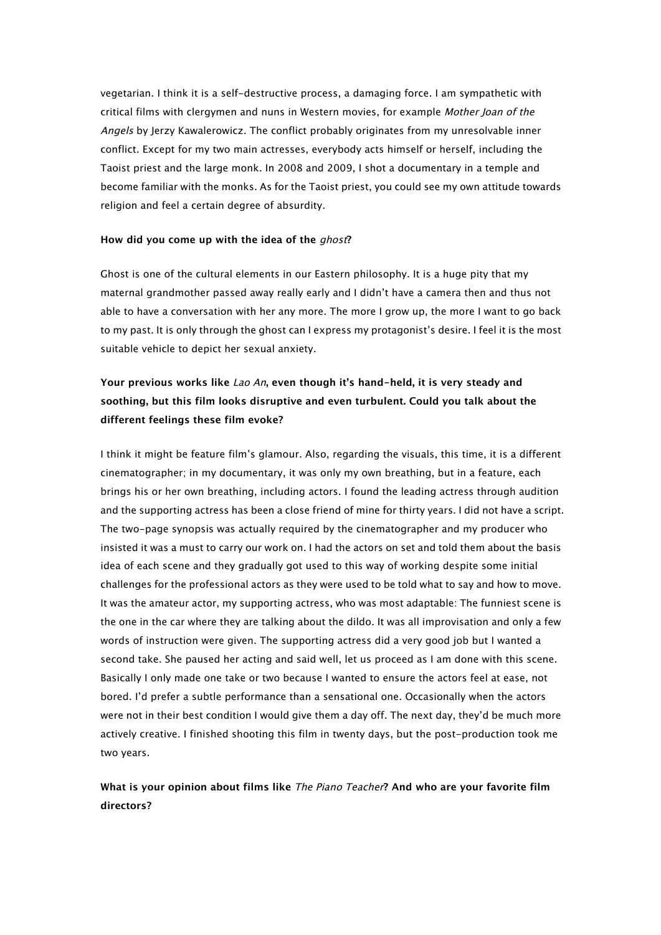vegetarian. I think it is a self-destructive process, a damaging force. I am sympathetic with critical films with clergymen and nuns in Western movies, for example Mother Joan of the Angels by Jerzy Kawalerowicz. The conflict probably originates from my unresolvable inner conflict. Except for my two main actresses, everybody acts himself or herself, including the Taoist priest and the large monk. In 2008 and 2009, I shot a documentary in a temple and become familiar with the monks. As for the Taoist priest, you could see my own attitude towards religion and feel a certain degree of absurdity.

#### **How did you come up with the idea of the** ghost**?**

Ghost is one of the cultural elements in our Eastern philosophy. It is a huge pity that my maternal grandmother passed away really early and I didn't have a camera then and thus not able to have a conversation with her any more. The more I grow up, the more I want to go back to my past. It is only through the ghost can I express my protagonist's desire. I feel it is the most suitable vehicle to depict her sexual anxiety.

# **Your previous works like** Lao An**, even though it's hand-held, it is very steady and soothing, but this film looks disruptive and even turbulent. Could you talk about the different feelings these film evoke?**

I think it might be feature film's glamour. Also, regarding the visuals, this time, it is a different cinematographer; in my documentary, it was only my own breathing, but in a feature, each brings his or her own breathing, including actors. I found the leading actress through audition and the supporting actress has been a close friend of mine for thirty years. I did not have a script. The two-page synopsis was actually required by the cinematographer and my producer who insisted it was a must to carry our work on. I had the actors on set and told them about the basis idea of each scene and they gradually got used to this way of working despite some initial challenges for the professional actors as they were used to be told what to say and how to move. It was the amateur actor, my supporting actress, who was most adaptable: The funniest scene is the one in the car where they are talking about the dildo. It was all improvisation and only a few words of instruction were given. The supporting actress did a very good job but I wanted a second take. She paused her acting and said well, let us proceed as I am done with this scene. Basically I only made one take or two because I wanted to ensure the actors feel at ease, not bored. I'd prefer a subtle performance than a sensational one. Occasionally when the actors were not in their best condition I would give them a day off. The next day, they'd be much more actively creative. I finished shooting this film in twenty days, but the post-production took me two years.

# **What is your opinion about films like** The Piano Teacher**? And who are your favorite film directors?**